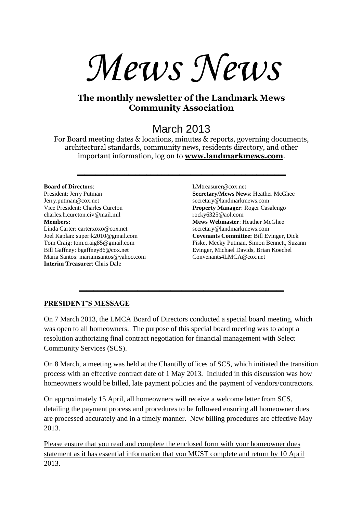# *Mews News*

### **The monthly newsletter of the Landmark Mews Community Association**

## March 2013

For Board meeting dates & locations, minutes & reports, governing documents, architectural standards, community news, residents directory, and other important information, log on to **[www.landmarkmews.com](http://www.landmarkmews.com/)**.

**\_\_\_\_\_\_\_\_\_\_\_\_\_\_\_\_\_\_\_\_\_\_\_\_\_\_\_\_\_\_\_\_\_\_\_\_\_\_\_\_\_\_\_\_\_\_\_\_\_\_\_\_\_\_\_\_\_**

#### **Board of Directors**:

President: Jerry Putman Jerry.putman@cox.net Vice President: Charles Cureton charles.h.cureton.civ@mail.mil **Members:** Linda Carter: carterxoxo@cox.net Joel Kaplan: superjk2010@gmail.com Tom Craig: tom.craig85@gmail.com Bill Gaffney: bgaffney86@cox.net Maria Santos: mariamsantos@yahoo.com **Interim Treasurer**: Chris Dale

LMtreasurer@cox.net **Secretary/Mews News**: Heather McGhee secretary@landmarkmews.com **Property Manager**: Roger Casalengo rocky6325@aol.com **Mews Webmaster**: Heather McGhee secretary@landmarkmews.com **Covenants Committee:** Bill Evinger, Dick Fiske, Mecky Putman, Simon Bennett, Suzann Evinger, Michael Davids, Brian Koechel Convenants4LMCA@cox.net

#### **PRESIDENT'S MESSAGE**

On 7 March 2013, the LMCA Board of Directors conducted a special board meeting, which was open to all homeowners. The purpose of this special board meeting was to adopt a resolution authorizing final contract negotiation for financial management with Select Community Services (SCS).

**\_\_\_\_\_\_\_\_\_\_\_\_\_\_\_\_\_\_\_\_\_\_\_\_\_\_\_\_\_\_\_\_\_\_\_\_\_\_\_\_\_\_\_\_\_\_\_\_\_\_\_\_\_\_\_\_**

On 8 March, a meeting was held at the Chantilly offices of SCS, which initiated the transition process with an effective contract date of 1 May 2013. Included in this discussion was how homeowners would be billed, late payment policies and the payment of vendors/contractors.

On approximately 15 April, all homeowners will receive a welcome letter from SCS, detailing the payment process and procedures to be followed ensuring all homeowner dues are processed accurately and in a timely manner. New billing procedures are effective May 2013.

Please ensure that you read and complete the enclosed form with your homeowner dues statement as it has essential information that you MUST complete and return by 10 April 2013.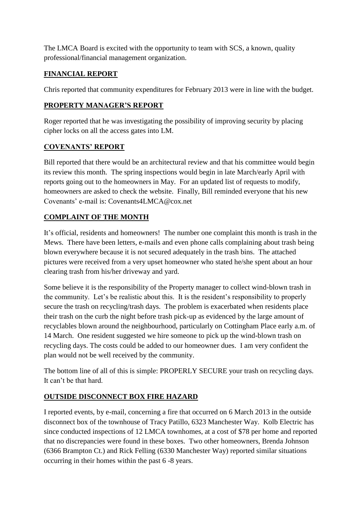The LMCA Board is excited with the opportunity to team with SCS, a known, quality professional/financial management organization.

#### **FINANCIAL REPORT**

Chris reported that community expenditures for February 2013 were in line with the budget.

#### **PROPERTY MANAGER'S REPORT**

Roger reported that he was investigating the possibility of improving security by placing cipher locks on all the access gates into LM.

#### **COVENANTS' REPORT**

Bill reported that there would be an architectural review and that his committee would begin its review this month. The spring inspections would begin in late March/early April with reports going out to the homeowners in May. For an updated list of requests to modify, homeowners are asked to check the website. Finally, Bill reminded everyone that his new Covenants' e-mail is: Covenants4LMCA@cox.net

#### **COMPLAINT OF THE MONTH**

It's official, residents and homeowners! The number one complaint this month is trash in the Mews. There have been letters, e-mails and even phone calls complaining about trash being blown everywhere because it is not secured adequately in the trash bins. The attached pictures were received from a very upset homeowner who stated he/she spent about an hour clearing trash from his/her driveway and yard.

Some believe it is the responsibility of the Property manager to collect wind-blown trash in the community. Let's be realistic about this. It is the resident's responsibility to properly secure the trash on recycling/trash days. The problem is exacerbated when residents place their trash on the curb the night before trash pick-up as evidenced by the large amount of recyclables blown around the neighbourhood, particularly on Cottingham Place early a.m. of 14 March. One resident suggested we hire someone to pick up the wind-blown trash on recycling days. The costs could be added to our homeowner dues. I am very confident the plan would not be well received by the community.

The bottom line of all of this is simple: PROPERLY SECURE your trash on recycling days. It can't be that hard.

#### **OUTSIDE DISCONNECT BOX FIRE HAZARD**

I reported events, by e-mail, concerning a fire that occurred on 6 March 2013 in the outside disconnect box of the townhouse of Tracy Patillo, 6323 Manchester Way. Kolb Electric has since conducted inspections of 12 LMCA townhomes, at a cost of \$78 per home and reported that no discrepancies were found in these boxes. Two other homeowners, Brenda Johnson (6366 Brampton Ct.) and Rick Felling (6330 Manchester Way) reported similar situations occurring in their homes within the past 6 -8 years.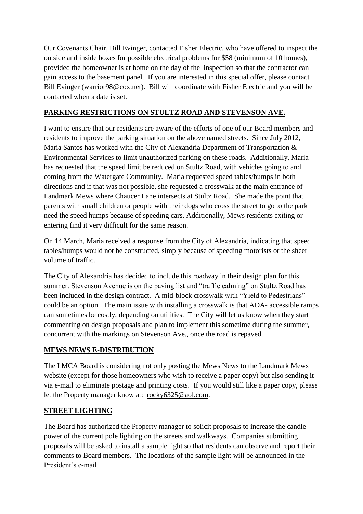Our Covenants Chair, Bill Evinger, contacted Fisher Electric, who have offered to inspect the outside and inside boxes for possible electrical problems for \$58 (minimum of 10 homes), provided the homeowner is at home on the day of the inspection so that the contractor can gain access to the basement panel. If you are interested in this special offer, please contact Bill Evinger [\(warrior98@cox.net\)](mailto:warrior98@cox.net). Bill will coordinate with Fisher Electric and you will be contacted when a date is set.

#### **PARKING RESTRICTIONS ON STULTZ ROAD AND STEVENSON AVE.**

I want to ensure that our residents are aware of the efforts of one of our Board members and residents to improve the parking situation on the above named streets. Since July 2012, Maria Santos has worked with the City of Alexandria Department of Transportation & Environmental Services to limit unauthorized parking on these roads. Additionally, Maria has requested that the speed limit be reduced on Stultz Road, with vehicles going to and coming from the Watergate Community. Maria requested speed tables/humps in both directions and if that was not possible, she requested a crosswalk at the main entrance of Landmark Mews where Chaucer Lane intersects at Stultz Road. She made the point that parents with small children or people with their dogs who cross the street to go to the park need the speed humps because of speeding cars. Additionally, Mews residents exiting or entering find it very difficult for the same reason.

On 14 March, Maria received a response from the City of Alexandria, indicating that speed tables/humps would not be constructed, simply because of speeding motorists or the sheer volume of traffic.

The City of Alexandria has decided to include this roadway in their design plan for this summer. Stevenson Avenue is on the paving list and "traffic calming" on Stultz Road has been included in the design contract. A mid-block crosswalk with "Yield to Pedestrians" could be an option. The main issue with installing a crosswalk is that ADA- accessible ramps can sometimes be costly, depending on utilities. The City will let us know when they start commenting on design proposals and plan to implement this sometime during the summer, concurrent with the markings on Stevenson Ave., once the road is repaved.

#### **MEWS NEWS E-DISTRIBUTION**

The LMCA Board is considering not only posting the Mews News to the Landmark Mews website (except for those homeowners who wish to receive a paper copy) but also sending it via e-mail to eliminate postage and printing costs. If you would still like a paper copy, please let the Property manager know at: [rocky6325@aol.com.](mailto:rocky6325@aol.com)

#### **STREET LIGHTING**

The Board has authorized the Property manager to solicit proposals to increase the candle power of the current pole lighting on the streets and walkways. Companies submitting proposals will be asked to install a sample light so that residents can observe and report their comments to Board members. The locations of the sample light will be announced in the President's e-mail.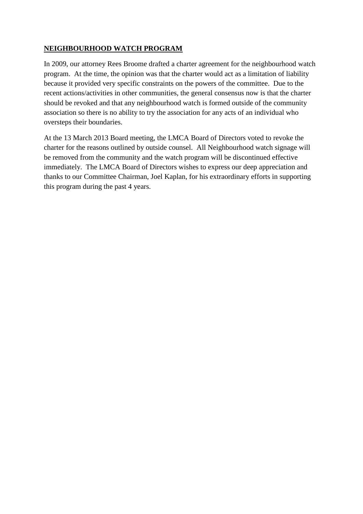#### **NEIGHBOURHOOD WATCH PROGRAM**

In 2009, our attorney Rees Broome drafted a charter agreement for the neighbourhood watch program. At the time, the opinion was that the charter would act as a limitation of liability because it provided very specific constraints on the powers of the committee. Due to the recent actions/activities in other communities, the general consensus now is that the charter should be revoked and that any neighbourhood watch is formed outside of the community association so there is no ability to try the association for any acts of an individual who oversteps their boundaries.

At the 13 March 2013 Board meeting, the LMCA Board of Directors voted to revoke the charter for the reasons outlined by outside counsel. All Neighbourhood watch signage will be removed from the community and the watch program will be discontinued effective immediately. The LMCA Board of Directors wishes to express our deep appreciation and thanks to our Committee Chairman, Joel Kaplan, for his extraordinary efforts in supporting this program during the past 4 years.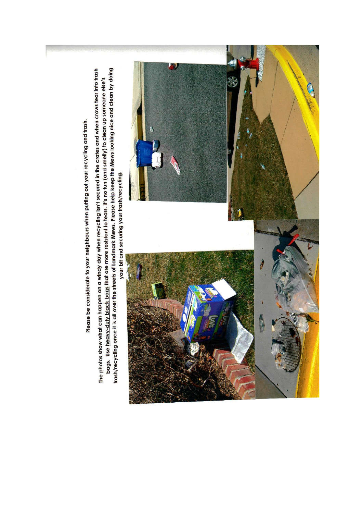Please be considerate to your neighbours when putting out your recycling and trash.

trash/recycling once it is all over the streets of Landmark Mews. Please help keep the Mews looking nice and clean by doing The photos show what can happen on a windy day when recycling isn't secured in the crates and when crows tear into trash bags. Use heavy-duty black bags that are more resistant to tears. It's no fun (and smelly) to clean up someone else's